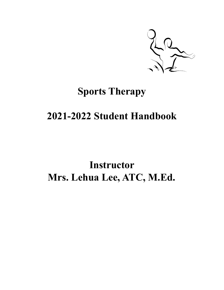

# **Sports Therapy**

# **2021-2022 Student Handbook**

# **Instructor Mrs. Lehua Lee, ATC, M.Ed.**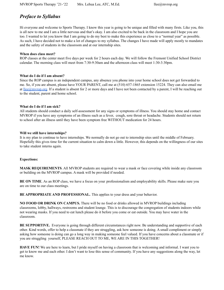# *Preface to Syllabus*

Hi everyone and welcome to Sports Therapy. I know this year is going to be unique and filled with many firsts. Like you, this is all new to me and I am a little nervous and that's okay. I am also excited to be back in the classroom and I hope you are too. I wanted to let you know that I am going to do my best to make this experience as close to a "normal year" as possible. As such, I have decided not to make a lot of changes to my syllabus. The changes I have made will apply mostly to mandates and the safety of students in the classroom and at our internship sites.

#### **When does class meet?**

ROP classes at the center meet five days per week for 2 hours each day. We will follow the Fremont Unified School District calendar. The morning class will meet from 7:30-9:30am and the afternoon class will meet 1:30-3:30pm.

#### **What do I do if I am absent?**

Since the ROP campus is an independent campus, any absence you phone into your home school does not get forwarded to me. So, if you are absent, please have YOUR PARENT, call me at (510) 657-1865 extension 15224. They can also email me at [llee@mvrop.org](mailto:llee@mvrop.org). If a student is absent for 2 or more days and I have not been contacted by a parent, I will be reaching out to the student, parent and home school.

#### **What do I do if I am sick?**

All students should conduct a daily self-assessment for any signs or symptoms of illness. You should stay home and contact MVROP if you have any symptoms of an illness such as a fever, cough, sore throat or headache. Students should not return to school after an illness until they have been symptom free WITHOUT medication for 24 hours.

#### **Will we still have internships?**

It is my plan to continue to have internships. We normally do not go out to internship sites until the middle of February. Hopefully this gives time for the current situation to calm down a little. However, this depends on the willingness of our sites to take student interns again.

### **Expections:**

**MASK REQUIREMENTS**. All MVROP students are required to wear a mask or face covering while inside any classroom or building on the MVROP campus. A mask will be provided if needed.

**BE ON TIME**. As an ROP class, we have a focus on your professionalism and employability skills. Please make sure you are on time to our class meetings.

**BE APPROPRIATE AND PROFESSIONAL.** This applies to your dress and your behavior.

**NO FOOD OR DRINK ON CAMPUS.** There will be no food or drinks allowed in MVROP buildings including classrooms, lobby, hallways, restrooms and student lounge. This is to discourage the congregation of students indoors while not wearing masks. If you need to eat lunch please do it before you come or eat outside. You may have water in the classroom.

**BE SUPPORTIVE.** Everyone is going through different circumstances right now. Be understanding and supportive of each other. Kind words, offer to help a classmate if they are struggling, ask how someone is doing. A small compliment or simply asking how someone is doing can go a long way in making someone feel valued. If you have concerns about a classmate or if you are struggling yourself, PLEASE REACH OUT TO ME, WE ARE IN THIS TOGETHER!

**HAVE FUN!** We are here to learn, but I pride myself on having a classroom that is welcoming and informal. I want you to get to know me and each other. I don't want to lose this sense of community. If you have any suggestions along the way, let me know.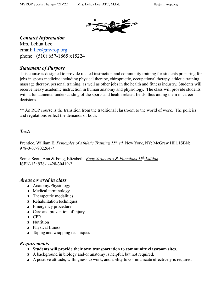

*Contatct Information*

Mrs. Lehua Lee email: [llee@mvrop.org](mailto:llee@mvrop.org) phone: (510) 657-1865 x15224

## *Statement of Purpose*

This course is designed to provide related instruction and community training for students preparing for jobs in sports medicine including physical therapy, chiropractic, occupational therapy, athletic training, massage therapy, personal training, as well as other jobs in the health and fitness industry. Students will receive heavy academic instruction in human anatomy and physiology. The class will provide students with a fundamental understanding of the sports and health related fields, thus aiding them in career decisions.

\*\* An ROP course is the transition from the traditional classroom to the world of work. The policies and regulations reflect the demands of both.

## *Text:*

Prentice, William E. *Principles of Athletic Training 15<sup>th</sup> ed.* New York, NY: McGraw Hill. ISBN: 978-0-07-802264-7

Senisi Scott, Ann & Fong, Elizabeth. *Body Structures & Functions 11<sup>th</sup> Edition*. ISBN-13: 978-1-428-30419-2

## *Areas covered in class*

- ❑ Anatomy/Physiology
- ❑ Medical terminology
- ❑ Therapeutic modalities
- ❑ Rehabilitation techniques
- ❑ Emergency procedures
- ❑ Care and prevention of injury
- ❑ CPR
- ❑ Nutrition
- ❑ Physical fitness
- ❑ Taping and wrapping techniques

## *Requirements*

- ❑ **Students will provide their own transportation to community classroom sites.**
- ❑ A background in biology and/or anatomy is helpful, but not required.
- ❑ A positive attitude, willingness to work, and ability to communicate effectively is required.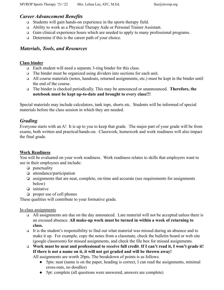## *Career Advancement Benefits*

- ❑ Students will gain hands-on experience in the sports therapy field.
- ❑ Ability to work as a Physical Therapy Aide or Personal Trainer Assistant.
- ❑ Gain clinical experience hours which are needed to apply to many professional programs.
- ❑ Determine if this is the career path of your choice.

## *Materials, Tools, and Resources*

### **Class binder**

- ❑ Each student will need a separate 3-ring binder for this class.
- ❑ The binder must be organized using dividers into sections for each unit.
- ❑ All course materials (notes, handouts, returned assignments, etc.) must be kept in the binder until the end of the course.
- ❑ The binder is checked periodically. This may be announced or unannounced. **Therefore, the notebook must be kept up-to-date and brought to every class!!!**

Special materials may include calculators, tank tops, shorts etc. Students will be informed of special materials before the class session in which they are needed.

## *Grading*

Everyone starts with an A! It is up to you to keep that grade. The major part of your grade will be from exams, both written and practical/hands-on. Classwork, homework and work readiness will also impact the final grade.

## **Work Readiness**

You will be evaluated on your work readiness. Work readiness relates to skills that employers want to see in their employees and include:

- ❏ punctuality
- ❏ attendance/participation
- ❏ assignments that are neat, complete, on-time and accurate (see requirements for assignments below)
- ❏ initiative
- ❏ proper use of cell phones

These qualities will contribute to your formative grade.

## In-class assignments

- ❑ All assignments are due on the day announced. Late material will not be accepted unless there is an excused absence. **All make-up work must be turned in within a week of returning to class.**
- ❑ It is the student's responsibility to find out what material was missed during an absence and to make it up. For example, copy the notes from a classmate, check the bulletin board or web site (google classroom) for missed assignments, and check the file box for missed assignments.
- ❑ **Work must be neat and professional to receive full credit**. **If I can't read it, I won't grade it! If there is not a name on it, it will not get graded and will be thrown away!**

All assignments are worth 20pts. The breakdown of points is as follows.

- 5pts: neat (name is on the paper, heading is correct, I can read the assignments, minimal cross-outs, no doodles)
- 5pt: complete (all questions were answered, answers are complete)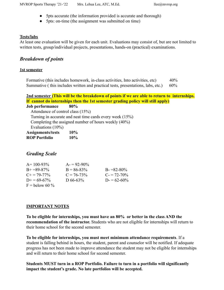- 5pts accurate (the information provided is accurate and thorough)
- 5pts: on-time (the assignment was submitted on time)

## **Tests/labs**

At least one evaluation will be given for each unit. Evaluations may consist of, but are not limited to written tests, group/individual projects, presentations, hands-on (practical) examinations.

## *Breakdown of points*

## **1st semester**

Formative (this includes homework, in-class activities, Into activities, etc) 40% Summative ( this includes written and practical tests, presentations, labs, etc.) 60%



# *Grading Scale*

| $A=100-93%$           | $A = 92 - 90\%$ |                 |
|-----------------------|-----------------|-----------------|
| $B+ = 89-87\%$        | $B = 86-83\%$   | $B = 82 - 80\%$ |
| $C_{\pm} = 79 - 77\%$ | $C = 76 - 73\%$ | $C = 72 - 70\%$ |
| $D_{\pm} = 69 - 67\%$ | D 66-63%        | $D = 62 - 60\%$ |
| $F =$ below 60 %      |                 |                 |

## **IMPORTANT NOTES**

**To be eligible for internships, you must have an 80% or better in the class AND the recommendation of the instructor.** Students who are not eligible for internships will return to their home school for the second semester.

**To be eligible for internships, you must meet minimum attendance requirements**. If a student is falling behind in hours, the student, parent and counselor will be notified. If adequate progress has not been made to improve attendance the student may not be eligible for internships and will return to their home school for second semester.

**Students MUST turn in a ROP Portfolio. Failure to turn in a portfolio will significantly impact the student's grade. No late portfolios will be accepted.**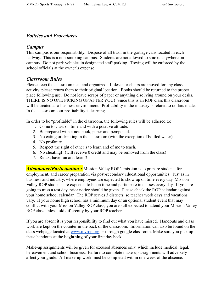## *Policies and Procedures*

## *Campus*

This campus is our responsibility. Dispose of all trash in the garbage cans located in each hallway. This is a non-smoking campus. Students are not allowed to smoke anywhere on campus. Do not park vehicles in designated staff parking. Towing will be enforced by the school officials at the owner's expense.

## *Classroom Rules*

Please keep the classroom neat and organized. If desks or chairs are moved for any class activity, please return them to their original location. Books should be returned to the proper place following use. Do not leave scraps of paper or anything else lying around on your desks. THERE IS NO ONE PICKING UP AFTER YOU! Since this is an ROP class this classroom will be treated as a business environment. Profitability in the industry is related to dollars made. In the classroom, our profitability is learning.

In order to be "profitable" in the classroom, the following rules will be adhered to:

- 1. Come to class on time and with a positive attitude.
- 2. Be prepared with a notebook, paper and pen/pencil.
- 3. No eating or drinking in the classroom (with the exception of bottled water).
- 4. No profanity.
- 5. Respect the right of other's to learn and of me to teach.
- 6. No cheating!! (will receive 0 credit and may be removed from the class)
- 7. Relax, have fun and learn!!

**Attendance/Participation :** Mission Valley ROP's mission is to prepare students for employment, and career preparation via post-secondary educational opportunities. Just as in business and industry, where employees are expected to show up on time every day, Mission Valley ROP students are expected to be on time and participate in classes every day. If you are going to miss a test day, prior notice should be given. Please check the ROP calendar against your home school calendar. The ROP serves 3 districts, so teacher work days and vacations vary. If your home high school has a minimum day or an optional student event that may conflict with your Mission Valley ROP class, you are still expected to attend your Mission Valley ROP class unless told differently by your ROP teacher.

If you are absent it is your responsibility to find out what you have missed. Handouts and class work are kept on the counter in the back of the classroom. Information can also be found on the class webpage located at [www.mvrop.org](http://www.mvrop.org) or through google classroom. Make sure you pick up these handouts at the **beginning** of your first day back.

Make-up assignments will be given for excused absences only, which include medical, legal, bereavement and school business. Failure to complete make-up assignments will adversely affect your grade. All make-up work must be completed within one week of the absence.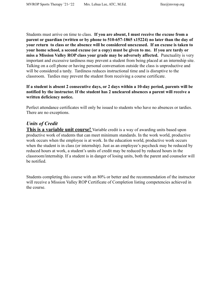Students must arrive on time to class. **If you are absent, I must receive the excuse from a parent or guardian (written or by phone to 510-657-1865 x15224) no later than the day of your return to class or the absence will be considered unexcused. If an excuse is taken to your home school, a second excuse (or a copy) must be given to me. If you are tardy or miss a Mission Valley ROP class your grade may be adversely affected.** Punctuality is very important and excessive tardiness may prevent a student from being placed at an internship site. Talking on a cell phone or having personal conversation outside the class is unproductive and will be considered a tardy. Tardiness reduces instructional time and is disruptive to the classroom. Tardies may prevent the student from receiving a course certificate.

## **If a student is absent 2 consecutive days, or 2 days within a 10-day period, parents will be notified by the instructor. If the student has 2 uncleared absences a parent will receive a written deficiency notice.**

Perfect attendance certificates will only be issued to students who have no absences or tardies. There are no exceptions.

## *Units of Credit*

**This is a variable unit course!** Variable credit is a way of awarding units based upon productive work of students that can meet minimum standards. In the work world, productive work occurs when the employee is at work. In the education world, productive work occurs when the student is in class (or internship). Just as an employee's paycheck may be reduced by reduced hours at work, a student's units of credit may be reduced by reduced hours in the classroom/internship. If a student is in danger of losing units, both the parent and counselor will be notified.

Students completing this course with an 80% or better and the recommendation of the instructor will receive a Mission Valley ROP Certificate of Completion listing competencies achieved in the course.